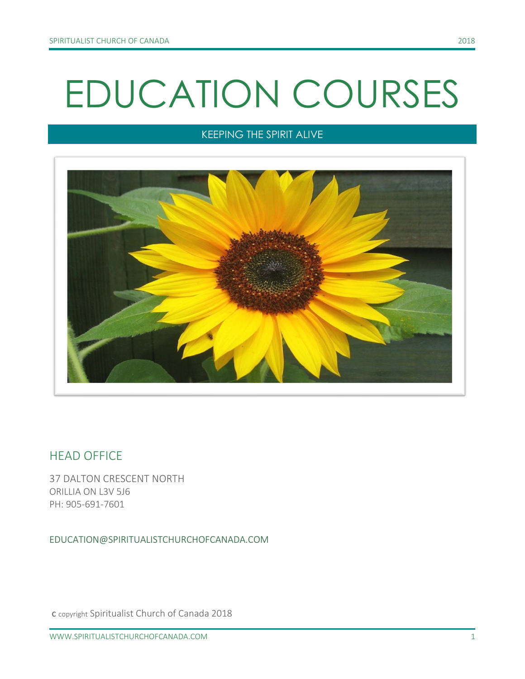# EDUCATION COURSES

## KEEPING THE SPIRIT ALIVE



## HEAD OFFICE

37 DALTON CRESCENT NORTH ORILLIA ON L3V 5J6 PH: 905-691-7601

EDUCATION@SPIRITUALISTCHURCHOFCANADA.COM

c copyright Spiritualist Church of Canada 2018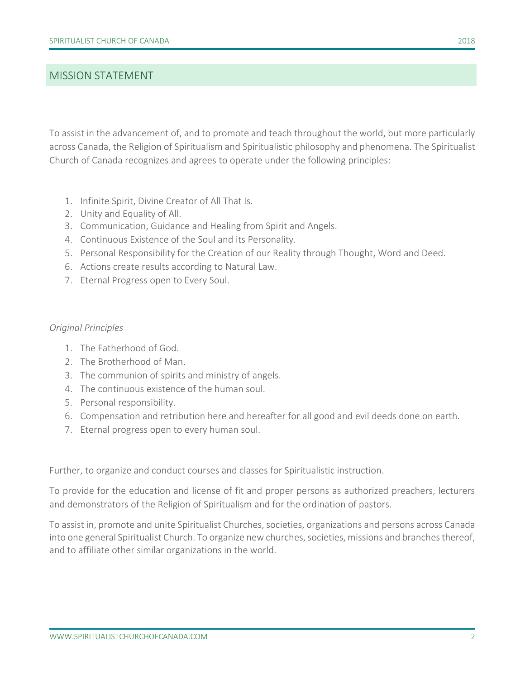#### MISSION STATEMENT

To assist in the advancement of, and to promote and teach throughout the world, but more particularly across Canada, the Religion of Spiritualism and Spiritualistic philosophy and phenomena. The Spiritualist Church of Canada recognizes and agrees to operate under the following principles:

- 1. Infinite Spirit, Divine Creator of All That Is.
- 2. Unity and Equality of All.
- 3. Communication, Guidance and Healing from Spirit and Angels.
- 4. Continuous Existence of the Soul and its Personality.
- 5. Personal Responsibility for the Creation of our Reality through Thought, Word and Deed.
- 6. Actions create results according to Natural Law.
- 7. Eternal Progress open to Every Soul.

#### *Original Principles*

- 1. The Fatherhood of God.
- 2. The Brotherhood of Man.
- 3. The communion of spirits and ministry of angels.
- 4. The continuous existence of the human soul.
- 5. Personal responsibility.
- 6. Compensation and retribution here and hereafter for all good and evil deeds done on earth.
- 7. Eternal progress open to every human soul.

Further, to organize and conduct courses and classes for Spiritualistic instruction.

To provide for the education and license of fit and proper persons as authorized preachers, lecturers and demonstrators of the Religion of Spiritualism and for the ordination of pastors.

To assist in, promote and unite Spiritualist Churches, societies, organizations and persons across Canada into one general Spiritualist Church. To organize new churches, societies, missions and branches thereof, and to affiliate other similar organizations in the world.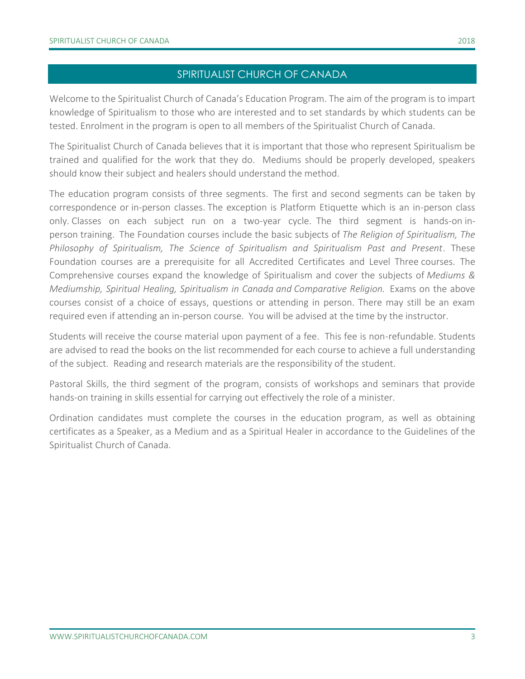#### SPIRITUALIST CHURCH OF CANADA

Welcome to the Spiritualist Church of Canada's Education Program. The aim of the program is to impart knowledge of Spiritualism to those who are interested and to set standards by which students can be tested. Enrolment in the program is open to all members of the Spiritualist Church of Canada.

The Spiritualist Church of Canada believes that it is important that those who represent Spiritualism be trained and qualified for the work that they do. Mediums should be properly developed, speakers should know their subject and healers should understand the method.

The education program consists of three segments. The first and second segments can be taken by correspondence or in-person classes. The exception is Platform Etiquette which is an in-person class only. Classes on each subject run on a two-year cycle. The third segment is hands-on inperson training. The Foundation courses include the basic subjects of *The Religion of Spiritualism, The Philosophy of Spiritualism, The Science of Spiritualism and Spiritualism Past and Present*. These Foundation courses are a prerequisite for all Accredited Certificates and Level Three courses. The Comprehensive courses expand the knowledge of Spiritualism and cover the subjects of *Mediums & Mediumship, Spiritual Healing, Spiritualism in Canada and Comparative Religion.* Exams on the above courses consist of a choice of essays, questions or attending in person. There may still be an exam required even if attending an in-person course. You will be advised at the time by the instructor.

Students will receive the course material upon payment of a fee. This fee is non-refundable. Students are advised to read the books on the list recommended for each course to achieve a full understanding of the subject. Reading and research materials are the responsibility of the student.

Pastoral Skills, the third segment of the program, consists of workshops and seminars that provide hands-on training in skills essential for carrying out effectively the role of a minister.

Ordination candidates must complete the courses in the education program, as well as obtaining certificates as a Speaker, as a Medium and as a Spiritual Healer in accordance to the Guidelines of the Spiritualist Church of Canada.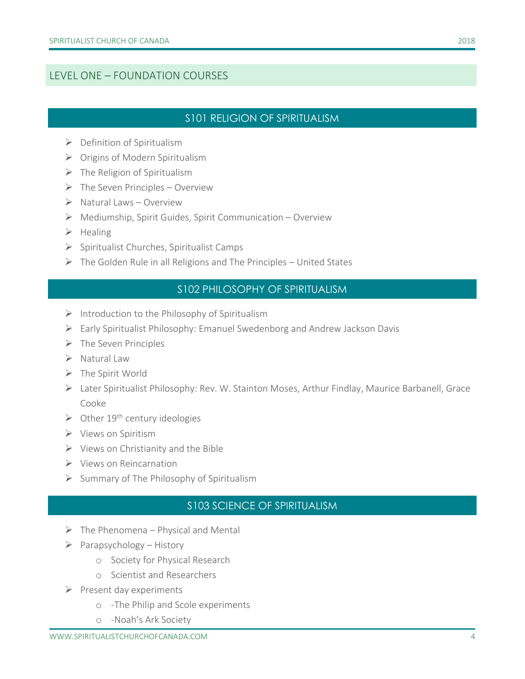## LEVEL ONE – FOUNDATION COURSES

## S101 RELIGION OF SPIRITUALISM

- $\triangleright$  Definition of Spiritualism
- ➢ Origins of Modern Spiritualism
- $\triangleright$  The Religion of Spiritualism
- $\triangleright$  The Seven Principles Overview
- $\triangleright$  Natural Laws Overview
- ➢ Mediumship, Spirit Guides, Spirit Communication Overview
- ➢ Healing
- ➢ Spiritualist Churches, Spiritualist Camps
- ➢ The Golden Rule in all Religions and The Principles United States

## S102 PHILOSOPHY OF SPIRITUALISM

- $\triangleright$  Introduction to the Philosophy of Spiritualism
- ➢ Early Spiritualist Philosophy: Emanuel Swedenborg and Andrew Jackson Davis
- $\triangleright$  The Seven Principles
- ➢ Natural Law
- ➢ The Spirit World
- ➢ Later Spiritualist Philosophy: Rev. W. Stainton Moses, Arthur Findlay, Maurice Barbanell, Grace Cooke
- $\triangleright$  Other 19<sup>th</sup> century ideologies
- ➢ Views on Spiritism
- $\triangleright$  Views on Christianity and the Bible
- ➢ Views on Reincarnation
- ➢ Summary of The Philosophy of Spiritualism

## S103 SCIENCE OF SPIRITUALISM

- $\triangleright$  The Phenomena Physical and Mental
- $\triangleright$  Parapsychology History
	- o Society for Physical Research
	- o Scientist and Researchers
- $\triangleright$  Present day experiments
	- o -The Philip and Scole experiments
	- o -Noah's Ark Society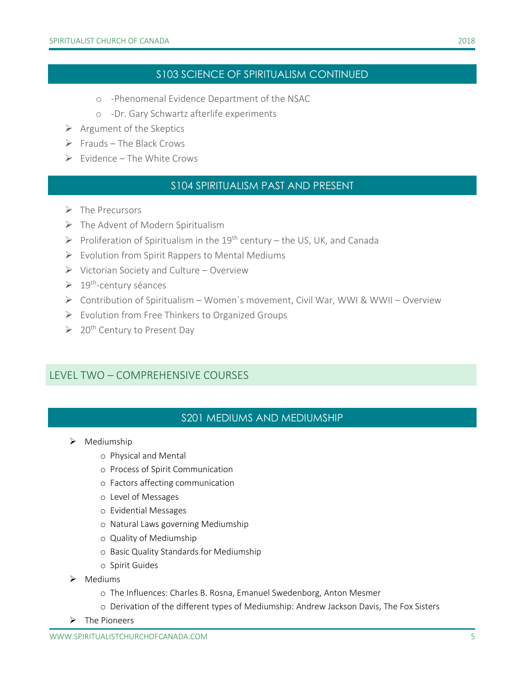#### S103 SCIENCE OF SPIRITUALISM CONTINUED

- o -Phenomenal Evidence Department of the NSAC
- o -Dr. Gary Schwartz afterlife experiments
- $\triangleright$  Argument of the Skeptics
- $\triangleright$  Frauds The Black Crows
- $\triangleright$  Fyidence The White Crows

#### S104 SPIRITUALISM PAST AND PRESENT

- ➢ The Precursors
- $\triangleright$  The Advent of Modern Spiritualism
- $\triangleright$  Proliferation of Spiritualism in the 19<sup>th</sup> century the US, UK, and Canada
- $\triangleright$  Evolution from Spirit Rappers to Mental Mediums
- ➢ Victorian Society and Culture Overview
- ➢ 19th -century séances
- ➢ Contribution of Spiritualism Women`s movement, Civil War, WWI & WWII Overview
- $\triangleright$  Evolution from Free Thinkers to Organized Groups
- $\geqslant$  20<sup>th</sup> Century to Present Day

#### LEVEL TWO – COMPREHENSIVE COURSES

#### S201 MEDIUMS AND MEDIUMSHIP

- ➢ Mediumship
	- o Physical and Mental
	- o Process of Spirit Communication
	- o Factors affecting communication
	- o Level of Messages
	- o Evidential Messages
	- o Natural Laws governing Mediumship
	- o Quality of Mediumship
	- o Basic Quality Standards for Mediumship
	- o Spirit Guides
- ➢ Mediums
	- o The Influences: Charles B. Rosna, Emanuel Swedenborg, Anton Mesmer
	- o Derivation of the different types of Mediumship: Andrew Jackson Davis, The Fox Sisters
- ➢ The Pioneers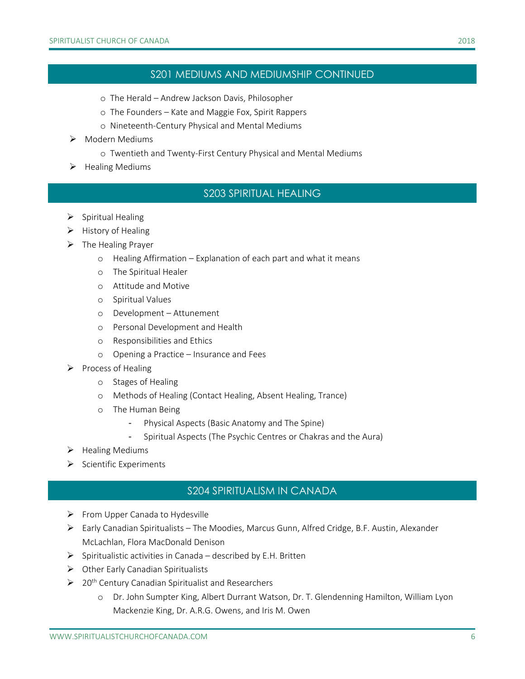#### S201 MEDIUMS AND MEDIUMSHIP CONTINUED

- o The Herald Andrew Jackson Davis, Philosopher
- o The Founders Kate and Maggie Fox, Spirit Rappers
- o Nineteenth-Century Physical and Mental Mediums
- ➢ Modern Mediums
	- o Twentieth and Twenty-First Century Physical and Mental Mediums
- ➢ Healing Mediums

#### S203 SPIRITUAL HEALING

- ➢ Spiritual Healing
- ➢ History of Healing
- ➢ The Healing Prayer
	- o Healing Affirmation Explanation of each part and what it means
	- o The Spiritual Healer
	- o Attitude and Motive
	- o Spiritual Values
	- o Development Attunement
	- o Personal Development and Health
	- o Responsibilities and Ethics
	- o Opening a Practice Insurance and Fees
- ➢ Process of Healing
	- o Stages of Healing
	- o Methods of Healing (Contact Healing, Absent Healing, Trance)
	- o The Human Being
		- Physical Aspects (Basic Anatomy and The Spine)
		- Spiritual Aspects (The Psychic Centres or Chakras and the Aura)
- ➢ Healing Mediums
- $\triangleright$  Scientific Experiments

#### S204 SPIRITUALISM IN CANADA

- ➢ From Upper Canada to Hydesville
- ➢ Early Canadian Spiritualists The Moodies, Marcus Gunn, Alfred Cridge, B.F. Austin, Alexander McLachlan, Flora MacDonald Denison
- $\triangleright$  Spiritualistic activities in Canada described by E.H. Britten
- ➢ Other Early Canadian Spiritualists
- $\geq 20$ <sup>th</sup> Century Canadian Spiritualist and Researchers
	- o Dr. John Sumpter King, Albert Durrant Watson, Dr. T. Glendenning Hamilton, William Lyon Mackenzie King, Dr. A.R.G. Owens, and Iris M. Owen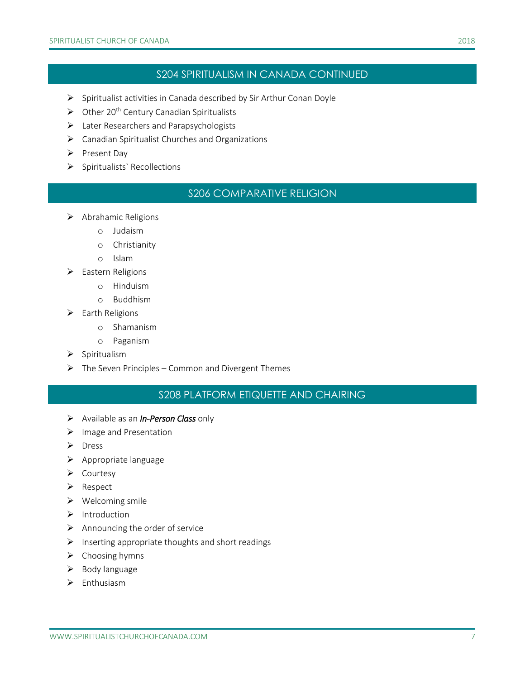#### S204 SPIRITUALISM IN CANADA CONTINUED

- ➢ Spiritualist activities in Canada described by Sir Arthur Conan Doyle
- $\triangleright$  Other 20<sup>th</sup> Century Canadian Spiritualists
- ➢ Later Researchers and Parapsychologists
- ➢ Canadian Spiritualist Churches and Organizations
- ➢ Present Day
- ➢ Spiritualists` Recollections

#### S206 COMPARATIVE RELIGION

- ➢ Abrahamic Religions
	- o Judaism
	- o Christianity
	- o Islam
- ➢ Eastern Religions
	- o Hinduism
	- o Buddhism
- ➢ Earth Religions
	- o Shamanism
	- o Paganism
- ➢ Spiritualism
- $\triangleright$  The Seven Principles Common and Divergent Themes

## S208 PLATFORM ETIQUETTE AND CHAIRING

- ➢ Available as an *In-Person Class* only
- ➢ Image and Presentation
- ➢ Dress
- ➢ Appropriate language
- ➢ Courtesy
- ➢ Respect
- ➢ Welcoming smile
- ➢ Introduction
- $\triangleright$  Announcing the order of service
- ➢ Inserting appropriate thoughts and short readings
- ➢ Choosing hymns
- ➢ Body language
- ➢ Enthusiasm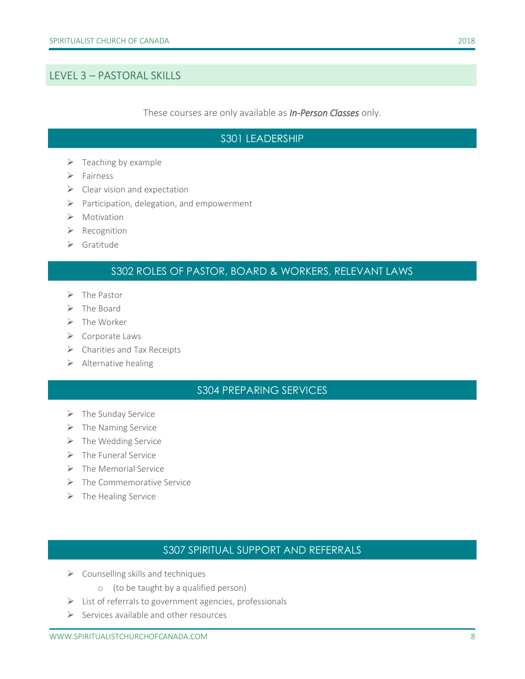#### LEVEL 3 – PASTORAL SKILLS

These courses are only available as *In-Person Classes* only.

#### S301 LEADERSHIP

- $\triangleright$  Teaching by example
- ➢ Fairness
- $\triangleright$  Clear vision and expectation
- ➢ Participation, delegation, and empowerment
- ➢ Motivation
- ➢ Recognition
- ➢ Gratitude

### S302 ROLES OF PASTOR, BOARD & WORKERS, RELEVANT LAWS

- ➢ The Pastor
- ➢ The Board
- ➢ The Worker
- ➢ Corporate Laws
- ➢ Charities and Tax Receipts
- ➢ Alternative healing

#### S304 PREPARING SERVICES

- $\triangleright$  The Sunday Service
- ➢ The Naming Service
- $\triangleright$  The Wedding Service
- $\triangleright$  The Funeral Service
- ➢ The Memorial Service
- ➢ The Commemorative Service
- ➢ The Healing Service

#### S307 SPIRITUAL SUPPORT AND REFERRALS

- $\triangleright$  Counselling skills and techniques
	- o (to be taught by a qualified person)
- ➢ List of referrals to government agencies, professionals
- ➢ Services available and other resources